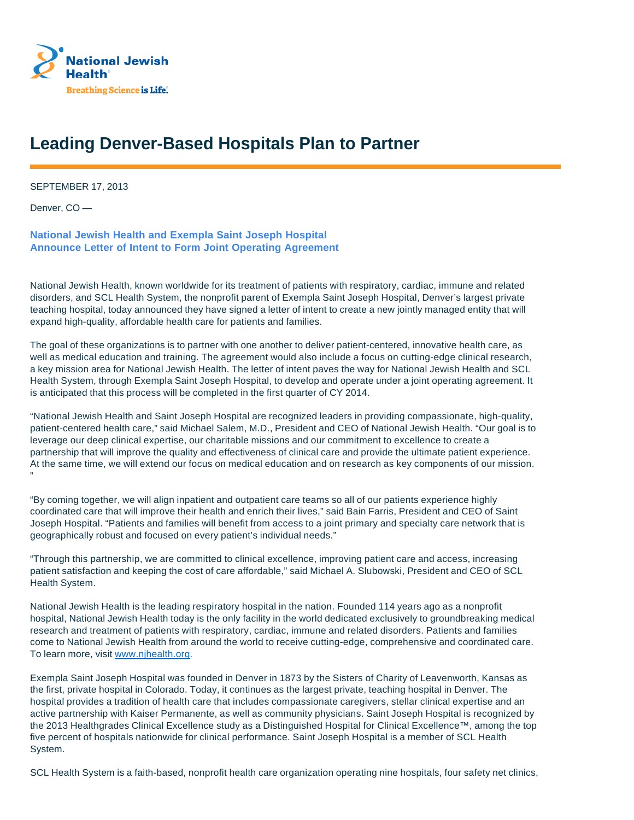

## **Leading Denver-Based Hospitals Plan to Partner**

SEPTEMBER 17, 2013

Denver, CO —

**National Jewish Health and Exempla Saint Joseph Hospital Announce Letter of Intent to Form Joint Operating Agreement**

National Jewish Health, known worldwide for its treatment of patients with respiratory, cardiac, immune and related disorders, and SCL Health System, the nonprofit parent of Exempla Saint Joseph Hospital, Denver's largest private teaching hospital, today announced they have signed a letter of intent to create a new jointly managed entity that will expand high-quality, affordable health care for patients and families.

The goal of these organizations is to partner with one another to deliver patient-centered, innovative health care, as well as medical education and training. The agreement would also include a focus on cutting-edge clinical research, a key mission area for National Jewish Health. The letter of intent paves the way for National Jewish Health and SCL Health System, through Exempla Saint Joseph Hospital, to develop and operate under a joint operating agreement. It is anticipated that this process will be completed in the first quarter of CY 2014.

"National Jewish Health and Saint Joseph Hospital are recognized leaders in providing compassionate, high-quality, patient-centered health care," said Michael Salem, M.D., President and CEO of National Jewish Health. "Our goal is to leverage our deep clinical expertise, our charitable missions and our commitment to excellence to create a partnership that will improve the quality and effectiveness of clinical care and provide the ultimate patient experience. At the same time, we will extend our focus on medical education and on research as key components of our mission. "

"By coming together, we will align inpatient and outpatient care teams so all of our patients experience highly coordinated care that will improve their health and enrich their lives," said Bain Farris, President and CEO of Saint Joseph Hospital. "Patients and families will benefit from access to a joint primary and specialty care network that is geographically robust and focused on every patient's individual needs."

"Through this partnership, we are committed to clinical excellence, improving patient care and access, increasing patient satisfaction and keeping the cost of care affordable," said Michael A. Slubowski, President and CEO of SCL Health System.

National Jewish Health is the leading respiratory hospital in the nation. Founded 114 years ago as a nonprofit hospital, National Jewish Health today is the only facility in the world dedicated exclusively to groundbreaking medical research and treatment of patients with respiratory, cardiac, immune and related disorders. Patients and families come to National Jewish Health from around the world to receive cutting-edge, comprehensive and coordinated care. To learn more, visit www.njhealth.org.

Exempla Saint Joseph Hospital was founded in Denver in 1873 by the Sisters of Charity of Leavenworth, Kansas as the first, private hospital in Colorado. Today, it continues as the largest private, teaching hospital in Denver. The hospital provides a tradition of health care that includes compassionate caregivers, stellar clinical expertise and an active partnership with Kaiser Permanente, as well as community physicians. Saint Joseph Hospital is recognized by the 2013 Healthgrades Clinical Excellence study as a Distinguished Hospital for Clinical Excellence™, among the top five percent of hospitals nationwide for clinical performance. Saint Joseph Hospital is a member of SCL Health System.

SCL Health System is a faith-based, nonprofit health care organization operating nine hospitals, four safety net clinics,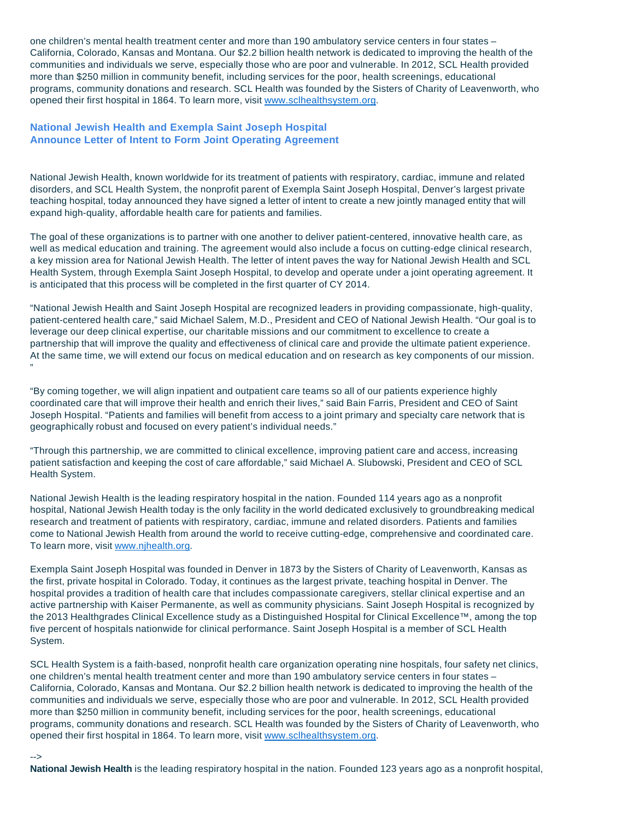one children's mental health treatment center and more than 190 ambulatory service centers in four states – California, Colorado, Kansas and Montana. Our \$2.2 billion health network is dedicated to improving the health of the communities and individuals we serve, especially those who are poor and vulnerable. In 2012, SCL Health provided more than \$250 million in community benefit, including services for the poor, health screenings, educational programs, community donations and research. SCL Health was founded by the Sisters of Charity of Leavenworth, who opened their first hospital in 1864. To learn more, visit www.sclhealthsystem.org.

## **National Jewish Health and Exempla Saint Joseph Hospital Announce Letter of Intent to Form Joint Operating Agreement**

National Jewish Health, known worldwide for its treatment of patients with respiratory, cardiac, immune and related disorders, and SCL Health System, the nonprofit parent of Exempla Saint Joseph Hospital, Denver's largest private teaching hospital, today announced they have signed a letter of intent to create a new jointly managed entity that will expand high-quality, affordable health care for patients and families.

The goal of these organizations is to partner with one another to deliver patient-centered, innovative health care, as well as medical education and training. The agreement would also include a focus on cutting-edge clinical research, a key mission area for National Jewish Health. The letter of intent paves the way for National Jewish Health and SCL Health System, through Exempla Saint Joseph Hospital, to develop and operate under a joint operating agreement. It is anticipated that this process will be completed in the first quarter of CY 2014.

"National Jewish Health and Saint Joseph Hospital are recognized leaders in providing compassionate, high-quality, patient-centered health care," said Michael Salem, M.D., President and CEO of National Jewish Health. "Our goal is to leverage our deep clinical expertise, our charitable missions and our commitment to excellence to create a partnership that will improve the quality and effectiveness of clinical care and provide the ultimate patient experience. At the same time, we will extend our focus on medical education and on research as key components of our mission. "

"By coming together, we will align inpatient and outpatient care teams so all of our patients experience highly coordinated care that will improve their health and enrich their lives," said Bain Farris, President and CEO of Saint Joseph Hospital. "Patients and families will benefit from access to a joint primary and specialty care network that is geographically robust and focused on every patient's individual needs."

"Through this partnership, we are committed to clinical excellence, improving patient care and access, increasing patient satisfaction and keeping the cost of care affordable," said Michael A. Slubowski, President and CEO of SCL Health System.

National Jewish Health is the leading respiratory hospital in the nation. Founded 114 years ago as a nonprofit hospital, National Jewish Health today is the only facility in the world dedicated exclusively to groundbreaking medical research and treatment of patients with respiratory, cardiac, immune and related disorders. Patients and families come to National Jewish Health from around the world to receive cutting-edge, comprehensive and coordinated care. To learn more, visit www.njhealth.org.

Exempla Saint Joseph Hospital was founded in Denver in 1873 by the Sisters of Charity of Leavenworth, Kansas as the first, private hospital in Colorado. Today, it continues as the largest private, teaching hospital in Denver. The hospital provides a tradition of health care that includes compassionate caregivers, stellar clinical expertise and an active partnership with Kaiser Permanente, as well as community physicians. Saint Joseph Hospital is recognized by the 2013 Healthgrades Clinical Excellence study as a Distinguished Hospital for Clinical Excellence™, among the top five percent of hospitals nationwide for clinical performance. Saint Joseph Hospital is a member of SCL Health System.

SCL Health System is a faith-based, nonprofit health care organization operating nine hospitals, four safety net clinics, one children's mental health treatment center and more than 190 ambulatory service centers in four states – California, Colorado, Kansas and Montana. Our \$2.2 billion health network is dedicated to improving the health of the communities and individuals we serve, especially those who are poor and vulnerable. In 2012, SCL Health provided more than \$250 million in community benefit, including services for the poor, health screenings, educational programs, community donations and research. SCL Health was founded by the Sisters of Charity of Leavenworth, who opened their first hospital in 1864. To learn more, visit www.sclhealthsystem.org.

## -->

**National Jewish Health** is the leading respiratory hospital in the nation. Founded 123 years ago as a nonprofit hospital,